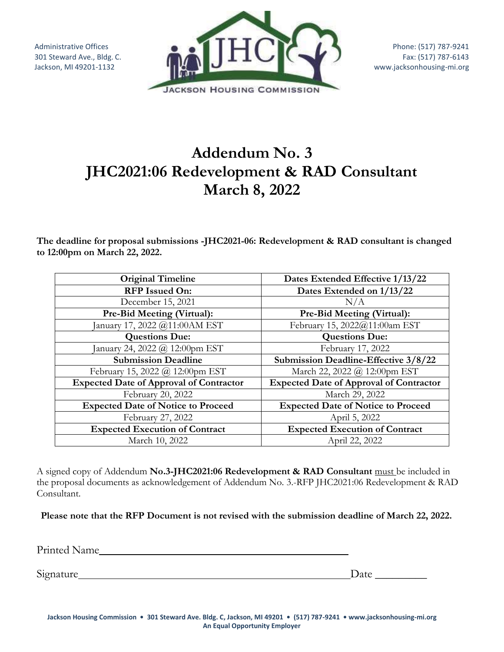Administrative Offices 301 Steward Ave., Bldg. C. Jackson, MI 49201-1132



## **Addendum No. 3 JHC2021:06 Redevelopment & RAD Consultant March 8, 2022**

**The deadline for proposal submissions -JHC2021-06: Redevelopment & RAD consultant is changed to 12:00pm on March 22, 2022.**

| <b>Original Timeline</b>                       | Dates Extended Effective 1/13/22               |
|------------------------------------------------|------------------------------------------------|
| <b>RFP</b> Issued On:                          | Dates Extended on 1/13/22                      |
| December 15, 2021                              | N/A                                            |
| Pre-Bid Meeting (Virtual):                     | Pre-Bid Meeting (Virtual):                     |
| January 17, 2022 @11:00AM EST                  | February 15, 2022@11:00am EST                  |
| <b>Questions Due:</b>                          | <b>Questions Due:</b>                          |
| anuary 24, 2022 $(a)$ 12:00pm EST              | February 17, 2022                              |
| <b>Submission Deadline</b>                     | Submission Deadline-Effective 3/8/22           |
| February 15, 2022 @ 12:00pm EST                | March 22, 2022 @ 12:00pm EST                   |
| <b>Expected Date of Approval of Contractor</b> | <b>Expected Date of Approval of Contractor</b> |
| February 20, 2022                              | March 29, 2022                                 |
| <b>Expected Date of Notice to Proceed</b>      | <b>Expected Date of Notice to Proceed</b>      |
| February 27, 2022                              | April 5, 2022                                  |
| <b>Expected Execution of Contract</b>          | <b>Expected Execution of Contract</b>          |
| March 10, 2022                                 | April 22, 2022                                 |

A signed copy of Addendum **No.3-JHC2021:06 Redevelopment & RAD Consultant** must be included in the proposal documents as acknowledgement of Addendum No. 3.-RFP JHC2021:06 Redevelopment & RAD Consultant.

**Please note that the RFP Document is not revised with the submission deadline of March 22, 2022.**

Printed Name